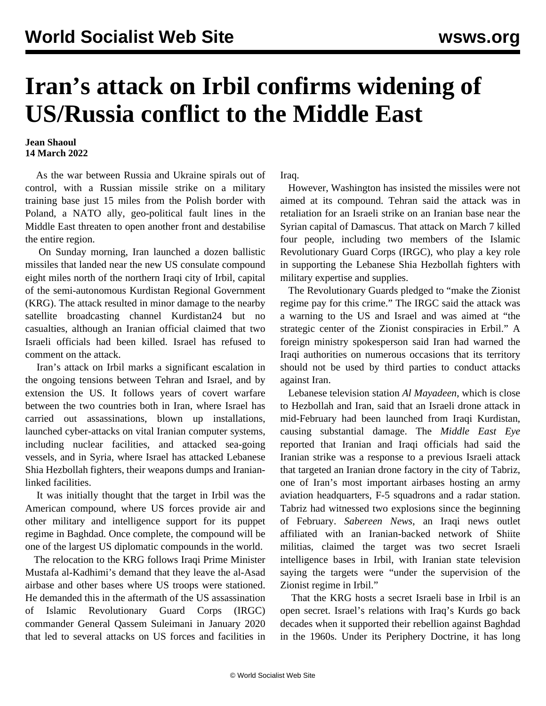## **Iran's attack on Irbil confirms widening of US/Russia conflict to the Middle East**

## **Jean Shaoul 14 March 2022**

 As the war between Russia and Ukraine spirals out of control, with a Russian missile strike on a military training base just 15 miles from the Polish border with Poland, a NATO ally, geo-political fault lines in the Middle East threaten to open another front and destabilise the entire region.

 On Sunday morning, Iran launched a dozen ballistic missiles that landed near the new US consulate compound eight miles north of the northern Iraqi city of Irbil, capital of the semi-autonomous Kurdistan Regional Government (KRG). The attack resulted in minor damage to the nearby satellite broadcasting channel Kurdistan24 but no casualties, although an Iranian official claimed that two Israeli officials had been killed. Israel has refused to comment on the attack.

 Iran's attack on Irbil marks a significant escalation in the ongoing tensions between Tehran and Israel, and by extension the US. It follows years of covert warfare between the two countries both in Iran, where Israel has carried out assassinations, blown up installations, launched cyber-attacks on vital Iranian computer systems, including nuclear facilities, and attacked sea-going vessels, and in Syria, where Israel has attacked Lebanese Shia Hezbollah fighters, their weapons dumps and Iranianlinked facilities.

 It was initially thought that the target in Irbil was the American compound, where US forces provide air and other military and intelligence support for its puppet regime in Baghdad. Once complete, the compound will be one of the largest US diplomatic compounds in the world.

 The relocation to the KRG follows Iraqi Prime Minister Mustafa al-Kadhimi's demand that they leave the al-Asad airbase and other bases where US troops were stationed. He demanded this in the aftermath of the US assassination of Islamic Revolutionary Guard Corps (IRGC) commander General Qassem Suleimani in January 2020 that led to several attacks on US forces and facilities in Iraq.

 However, Washington has insisted the missiles were not aimed at its compound. Tehran said the attack was in retaliation for an Israeli strike on an Iranian base near the Syrian capital of Damascus. That attack on March 7 killed four people, including two members of the Islamic Revolutionary Guard Corps (IRGC), who play a key role in supporting the Lebanese Shia Hezbollah fighters with military expertise and supplies.

 The Revolutionary Guards pledged to "make the Zionist regime pay for this crime." The IRGC said the attack was a warning to the US and Israel and was aimed at "the strategic center of the Zionist conspiracies in Erbil." A foreign ministry spokesperson said Iran had warned the Iraqi authorities on numerous occasions that its territory should not be used by third parties to conduct attacks against Iran.

 Lebanese television station *Al Mayadeen*, which is close to Hezbollah and Iran, said that an Israeli drone attack in mid-February had been launched from Iraqi Kurdistan, causing substantial damage. The *Middle East Eye* reported that Iranian and Iraqi officials had said the Iranian strike was a response to a previous Israeli attack that targeted an Iranian drone factory in the city of Tabriz, one of Iran's most important airbases hosting an army aviation headquarters, F-5 squadrons and a radar station. Tabriz had witnessed two explosions since the beginning of February. *Sabereen News*, an Iraqi news outlet affiliated with an Iranian-backed network of Shiite militias, claimed the target was two secret Israeli intelligence bases in Irbil, with Iranian state television saying the targets were "under the supervision of the Zionist regime in Irbil."

 That the KRG hosts a secret Israeli base in Irbil is an open secret. Israel's relations with Iraq's Kurds go back decades when it supported their rebellion against Baghdad in the 1960s. Under its Periphery Doctrine, it has long